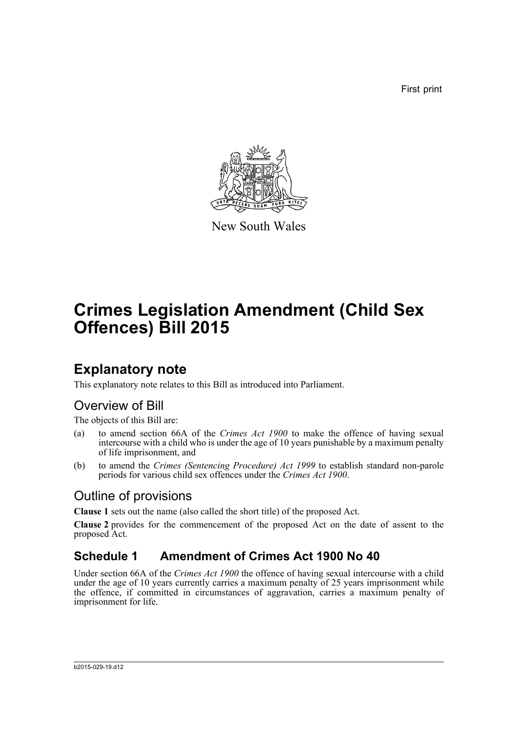First print



New South Wales

# **Crimes Legislation Amendment (Child Sex Offences) Bill 2015**

## **Explanatory note**

This explanatory note relates to this Bill as introduced into Parliament.

## Overview of Bill

The objects of this Bill are:

- (a) to amend section 66A of the *Crimes Act 1900* to make the offence of having sexual intercourse with a child who is under the age of 10 years punishable by a maximum penalty of life imprisonment, and
- (b) to amend the *Crimes (Sentencing Procedure) Act 1999* to establish standard non-parole periods for various child sex offences under the *Crimes Act 1900*.

### Outline of provisions

**Clause 1** sets out the name (also called the short title) of the proposed Act.

**Clause 2** provides for the commencement of the proposed Act on the date of assent to the proposed Act.

## **Schedule 1 Amendment of Crimes Act 1900 No 40**

Under section 66A of the *Crimes Act 1900* the offence of having sexual intercourse with a child under the age of 10 years currently carries a maximum penalty of 25 years imprisonment while the offence, if committed in circumstances of aggravation, carries a maximum penalty of imprisonment for life.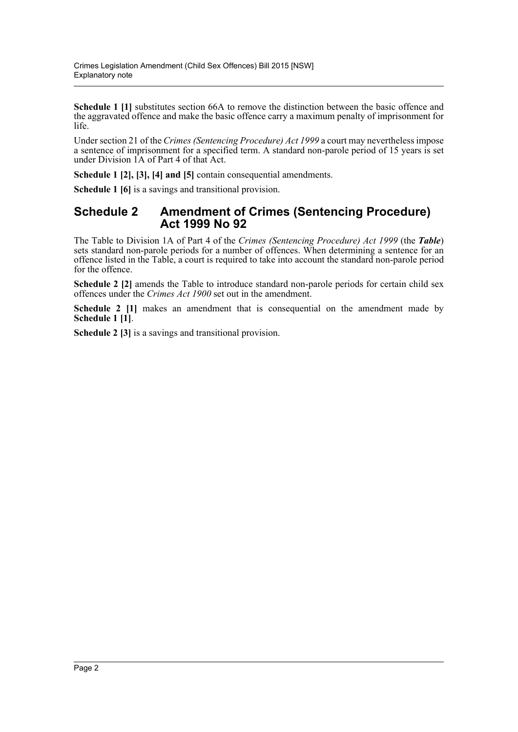**Schedule 1 [1]** substitutes section 66A to remove the distinction between the basic offence and the aggravated offence and make the basic offence carry a maximum penalty of imprisonment for life.

Under section 21 of the *Crimes (Sentencing Procedure) Act 1999* a court may nevertheless impose a sentence of imprisonment for a specified term. A standard non-parole period of 15 years is set under Division 1A of Part 4 of that Act.

**Schedule 1 [2], [3], [4] and [5]** contain consequential amendments.

**Schedule 1 [6]** is a savings and transitional provision.

#### **Schedule 2 Amendment of Crimes (Sentencing Procedure) Act 1999 No 92**

The Table to Division 1A of Part 4 of the *Crimes (Sentencing Procedure) Act 1999* (the *Table*) sets standard non-parole periods for a number of offences. When determining a sentence for an offence listed in the Table, a court is required to take into account the standard non-parole period for the offence.

**Schedule 2 [2]** amends the Table to introduce standard non-parole periods for certain child sex offences under the *Crimes Act 1900* set out in the amendment.

**Schedule 2 [1]** makes an amendment that is consequential on the amendment made by **Schedule 1 [1]**.

**Schedule 2 [3]** is a savings and transitional provision.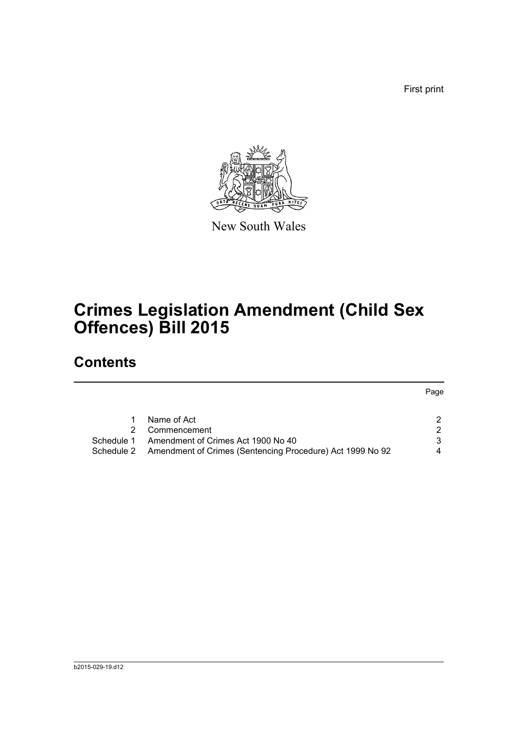First print



New South Wales

# **Crimes Legislation Amendment (Child Sex Offences) Bill 2015**

## **Contents**

Page

|            | Name of Act                                                          |   |
|------------|----------------------------------------------------------------------|---|
|            | 2 Commencement                                                       |   |
| Schedule 1 | Amendment of Crimes Act 1900 No 40                                   |   |
|            | Schedule 2 Amendment of Crimes (Sentencing Procedure) Act 1999 No 92 | 4 |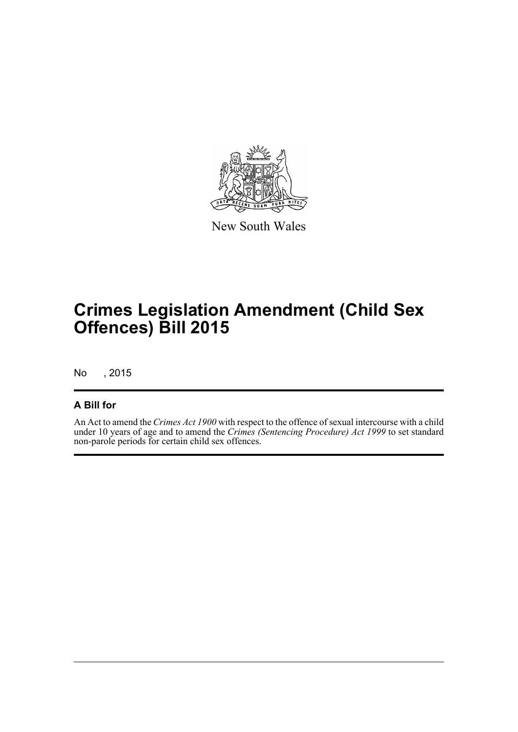

New South Wales

# **Crimes Legislation Amendment (Child Sex Offences) Bill 2015**

No , 2015

#### **A Bill for**

An Act to amend the *Crimes Act 1900* with respect to the offence of sexual intercourse with a child under 10 years of age and to amend the *Crimes (Sentencing Procedure) Act 1999* to set standard non-parole periods for certain child sex offences.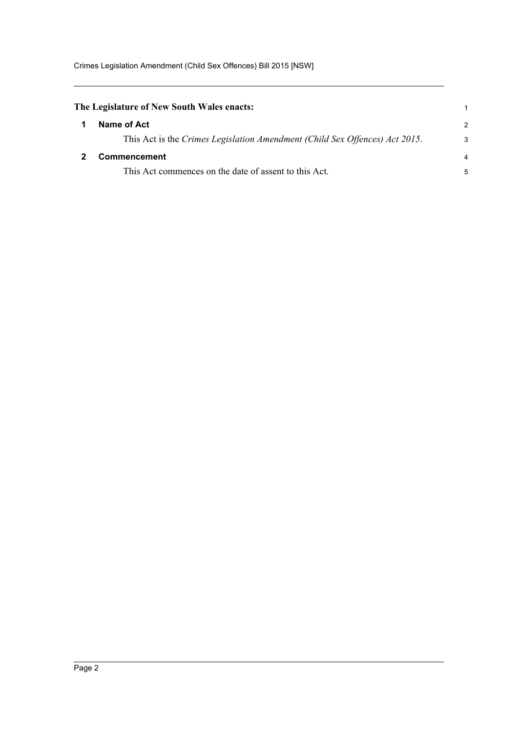<span id="page-4-1"></span><span id="page-4-0"></span>

| The Legislature of New South Wales enacts:                                  |   |
|-----------------------------------------------------------------------------|---|
| Name of Act                                                                 | 2 |
| This Act is the Crimes Legislation Amendment (Child Sex Offences) Act 2015. | 3 |
| <b>Commencement</b>                                                         | 4 |
| This Act commences on the date of assent to this Act.                       | 5 |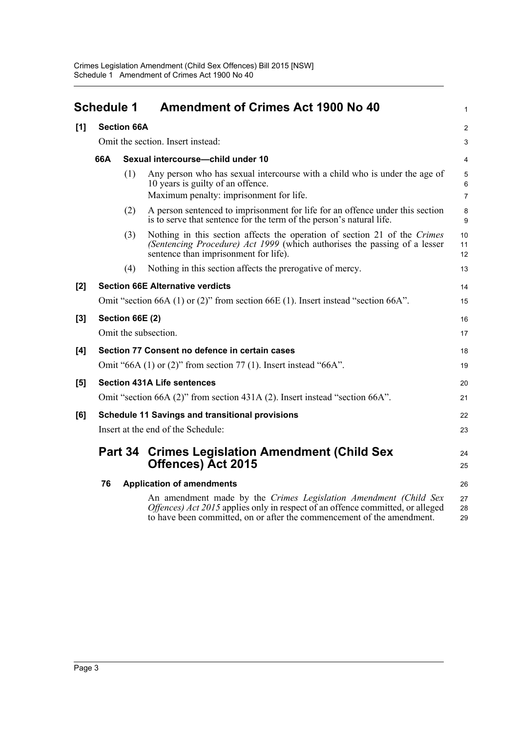<span id="page-5-0"></span>

|       | <b>Schedule 1</b>                                                                 |                    | <b>Amendment of Crimes Act 1900 No 40</b>                                                                                                                                                                                           | $\mathbf{1}$             |
|-------|-----------------------------------------------------------------------------------|--------------------|-------------------------------------------------------------------------------------------------------------------------------------------------------------------------------------------------------------------------------------|--------------------------|
| [1]   |                                                                                   | <b>Section 66A</b> |                                                                                                                                                                                                                                     | 2                        |
|       |                                                                                   |                    | Omit the section. Insert instead:                                                                                                                                                                                                   | 3                        |
|       | 66A                                                                               |                    | Sexual intercourse-child under 10                                                                                                                                                                                                   | 4                        |
|       |                                                                                   | (1)                | Any person who has sexual intercourse with a child who is under the age of<br>10 years is guilty of an offence.<br>Maximum penalty: imprisonment for life.                                                                          | 5<br>6<br>$\overline{7}$ |
|       |                                                                                   | (2)                | A person sentenced to imprisonment for life for an offence under this section<br>is to serve that sentence for the term of the person's natural life.                                                                               | 8<br>9                   |
|       |                                                                                   | (3)                | Nothing in this section affects the operation of section 21 of the Crimes<br>(Sentencing Procedure) Act 1999 (which authorises the passing of a lesser<br>sentence than imprisonment for life).                                     | 10<br>11<br>12           |
|       |                                                                                   | (4)                | Nothing in this section affects the prerogative of mercy.                                                                                                                                                                           | 13                       |
| [2]   |                                                                                   |                    | <b>Section 66E Alternative verdicts</b>                                                                                                                                                                                             | 14                       |
|       | Omit "section 66A (1) or (2)" from section 66E (1). Insert instead "section 66A". |                    | 15                                                                                                                                                                                                                                  |                          |
| $[3]$ | Section 66E (2)                                                                   |                    | 16                                                                                                                                                                                                                                  |                          |
|       |                                                                                   |                    | Omit the subsection.                                                                                                                                                                                                                | 17                       |
| $[4]$ |                                                                                   |                    | Section 77 Consent no defence in certain cases                                                                                                                                                                                      | 18                       |
|       | Omit "66A $(1)$ or $(2)$ " from section 77 $(1)$ . Insert instead "66A".          |                    |                                                                                                                                                                                                                                     | 19                       |
| [5]   |                                                                                   |                    | <b>Section 431A Life sentences</b>                                                                                                                                                                                                  | 20                       |
|       |                                                                                   |                    | Omit "section 66A (2)" from section 431A (2). Insert instead "section 66A".                                                                                                                                                         | 21                       |
| [6]   |                                                                                   |                    | <b>Schedule 11 Savings and transitional provisions</b>                                                                                                                                                                              | 22                       |
|       |                                                                                   |                    | Insert at the end of the Schedule:                                                                                                                                                                                                  | 23                       |
|       |                                                                                   |                    | <b>Part 34 Crimes Legislation Amendment (Child Sex</b><br><b>Offences) Act 2015</b>                                                                                                                                                 | 24<br>25                 |
|       | 76                                                                                |                    | <b>Application of amendments</b>                                                                                                                                                                                                    | 26                       |
|       |                                                                                   |                    | An amendment made by the Crimes Legislation Amendment (Child Sex<br><i>Offences) Act 2015</i> applies only in respect of an offence committed, or alleged<br>to have been committed, on or after the commencement of the amendment. | 27<br>28<br>29           |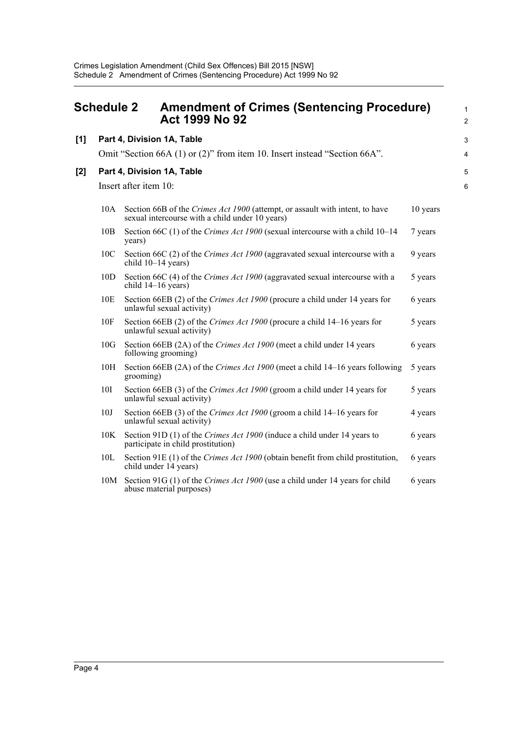<span id="page-6-0"></span>

|       | <b>Schedule 2</b> | <b>Amendment of Crimes (Sentencing Procedure)</b><br><b>Act 1999 No 92</b>                                                      |          | $\mathbf{1}$<br>2 |
|-------|-------------------|---------------------------------------------------------------------------------------------------------------------------------|----------|-------------------|
| [1]   |                   | Part 4, Division 1A, Table                                                                                                      |          | 3                 |
|       |                   | Omit "Section 66A (1) or (2)" from item 10. Insert instead "Section 66A".                                                       |          | 4                 |
| $[2]$ |                   | Part 4, Division 1A, Table                                                                                                      |          | $\overline{5}$    |
|       |                   | Insert after item 10:                                                                                                           |          | 6                 |
|       | 10A               | Section 66B of the Crimes Act 1900 (attempt, or assault with intent, to have<br>sexual intercourse with a child under 10 years) | 10 years |                   |
|       | 10B               | Section 66C (1) of the Crimes Act 1900 (sexual intercourse with a child 10–14<br>years)                                         | 7 years  |                   |
|       | 10 <sub>C</sub>   | Section 66C (2) of the Crimes Act 1900 (aggravated sexual intercourse with a<br>child 10-14 years)                              | 9 years  |                   |
|       | 10D               | Section 66C (4) of the Crimes Act 1900 (aggravated sexual intercourse with a<br>child $14-16$ years)                            | 5 years  |                   |
|       | 10E               | Section 66EB (2) of the Crimes Act 1900 (procure a child under 14 years for<br>unlawful sexual activity)                        | 6 years  |                   |
|       | 10F               | Section 66EB (2) of the Crimes Act 1900 (procure a child 14–16 years for<br>unlawful sexual activity)                           | 5 years  |                   |
|       | 10G               | Section 66EB (2A) of the Crimes Act 1900 (meet a child under 14 years<br>following grooming)                                    | 6 years  |                   |
|       | 10H               | Section 66EB (2A) of the Crimes Act 1900 (meet a child 14–16 years following<br>grooming)                                       | 5 years  |                   |
|       | <b>10I</b>        | Section 66EB (3) of the Crimes Act 1900 (groom a child under 14 years for<br>unlawful sexual activity)                          | 5 years  |                   |
|       | 10J               | Section 66EB (3) of the Crimes Act 1900 (groom a child 14-16 years for<br>unlawful sexual activity)                             | 4 years  |                   |
|       | 10K               | Section 91D (1) of the Crimes Act 1900 (induce a child under 14 years to<br>participate in child prostitution)                  | 6 years  |                   |
|       | 10L               | Section 91E (1) of the Crimes Act 1900 (obtain benefit from child prostitution,<br>child under 14 years)                        | 6 years  |                   |
|       | 10M               | Section 91G (1) of the Crimes Act 1900 (use a child under 14 years for child<br>abuse material purposes)                        | 6 years  |                   |